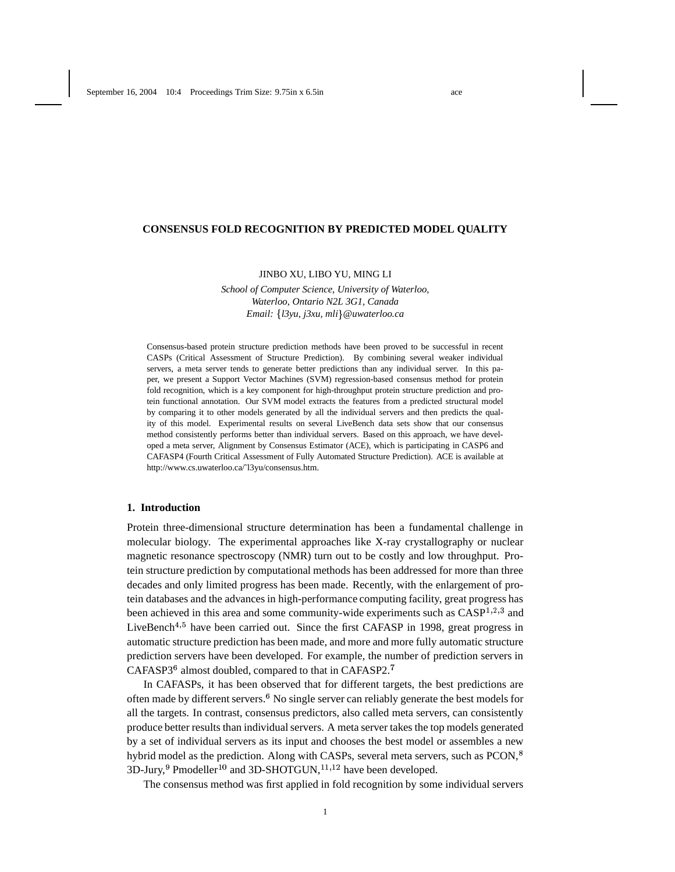## **CONSENSUS FOLD RECOGNITION BY PREDICTED MODEL QUALITY**

### JINBO XU, LIBO YU, MING LI

*School of Computer Science, University of Waterloo, Waterloo, Ontario N2L 3G1, Canada Email: l3yu, j3xu, mli @uwaterloo.ca*

Consensus-based protein structure prediction methods have been proved to be successful in recent CASPs (Critical Assessment of Structure Prediction). By combining several weaker individual servers, a meta server tends to generate better predictions than any individual server. In this paper, we present a Support Vector Machines (SVM) regression-based consensus method for protein fold recognition, which is a key component for high-throughput protein structure prediction and protein functional annotation. Our SVM model extracts the features from a predicted structural model by comparing it to other models generated by all the individual servers and then predicts the quality of this model. Experimental results on several LiveBench data sets show that our consensus method consistently performs better than individual servers. Based on this approach, we have developed a meta server, Alignment by Consensus Estimator (ACE), which is participating in CASP6 and CAFASP4 (Fourth Critical Assessment of Fully Automated Structure Prediction). ACE is available at http://www.cs.uwaterloo.ca/˜l3yu/consensus.htm.

### **1. Introduction**

Protein three-dimensional structure determination has been a fundamental challenge in molecular biology. The experimental approaches like X-ray crystallography or nuclear magnetic resonance spectroscopy (NMR) turn out to be costly and low throughput. Protein structure prediction by computational methods has been addressed for more than three decades and only limited progress has been made. Recently, with the enlargement of protein databases and the advances in high-performance computing facility, great progress has been achieved in this area and some community-wide experiments such as  $CASP^{1,2,3}$  and LiveBench<sup> $4,5$ </sup> have been carried out. Since the first CAFASP in 1998, great progress in automatic structure prediction has been made, and more and more fully automatic structure prediction servers have been developed. For example, the number of prediction servers in CAFASP3 $<sup>6</sup>$  almost doubled, compared to that in CAFASP2. $<sup>7</sup>$ </sup></sup>

In CAFASPs, it has been observed that for different targets, the best predictions are often made by different servers.<sup>6</sup> No single server can reliably generate the best models for all the targets. In contrast, consensus predictors, also called meta servers, can consistently produce better results than individualservers. A meta server takes the top models generated by a set of individual servers as its input and chooses the best model or assembles a new hybrid model as the prediction. Along with CASPs, several meta servers, such as PCON,  3D-Jury,  $9$  Pmodeller<sup>10</sup> and 3D-SHOTGUN,  $^{11,12}$  have been developed.

The consensus method was first applied in fold recognition by some individual servers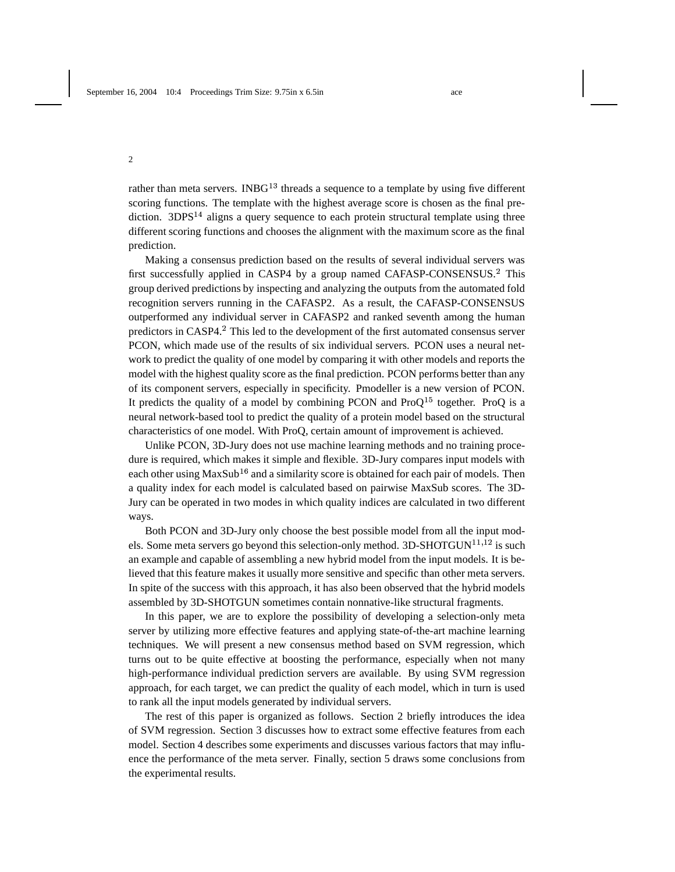rather than meta servers. INBG $^{13}$  threads a sequence to a template by using five different scoring functions. The template with the highest average score is chosen as the final prediction.  $3DPS<sup>14</sup>$  aligns a query sequence to each protein structural template using three different scoring functions and chooses the alignment with the maximum score as the final prediction.

Making a consensus prediction based on the results of several individual servers was first successfully applied in CASP4 by a group named CAFASP-CONSENSUS.<sup>2</sup> This group derived predictions by inspecting and analyzing the outputs from the automated fold recognition servers running in the CAFASP2. As a result, the CAFASP-CONSENSUS outperformed any individual server in CAFASP2 and ranked seventh among the human predictors in CASP4. This led to the development of the first automated consensus server PCON, which made use of the results of six individual servers. PCON uses a neural network to predict the quality of one model by comparing it with other models and reports the model with the highest quality score as the final prediction. PCON performs better than any of its component servers, especially in specificity. Pmodeller is a new version of PCON. It predicts the quality of a model by combining PCON and  $ProQ<sup>15</sup>$  together. ProQ is a neural network-based tool to predict the quality of a protein model based on the structural characteristics of one model. With ProQ, certain amount of improvement is achieved.

Unlike PCON, 3D-Jury does not use machine learning methods and no training procedure is required, which makes it simple and flexible. 3D-Jury compares input models with each other using  ${\rm MaxSub^{16}}$  and a similarity score is obtained for each pair of models. Then a quality index for each model is calculated based on pairwise MaxSub scores. The 3D-Jury can be operated in two modes in which quality indices are calculated in two different ways.

Both PCON and 3D-Jury only choose the best possible model from all the input models. Some meta servers go beyond this selection-only method.  $3D-SHOTGUN^{11,12}$  is such an example and capable of assembling a new hybrid model from the input models. It is believed that this feature makes it usually more sensitive and specific than other meta servers. In spite of the success with this approach, it has also been observed that the hybrid models assembled by 3D-SHOTGUN sometimes contain nonnative-like structural fragments.

In this paper, we are to explore the possibility of developing a selection-only meta server by utilizing more effective features and applying state-of-the-art machine learning techniques. We will present a new consensus method based on SVM regression, which turns out to be quite effective at boosting the performance, especially when not many high-performance individual prediction servers are available. By using SVM regression approach, for each target, we can predict the quality of each model, which in turn is used to rank all the input models generated by individual servers.

The rest of this paper is organized as follows. Section 2 briefly introduces the idea of SVM regression. Section 3 discusses how to extract some effective features from each model. Section 4 describes some experiments and discusses various factors that may influence the performance of the meta server. Finally, section 5 draws some conclusions from the experimental results.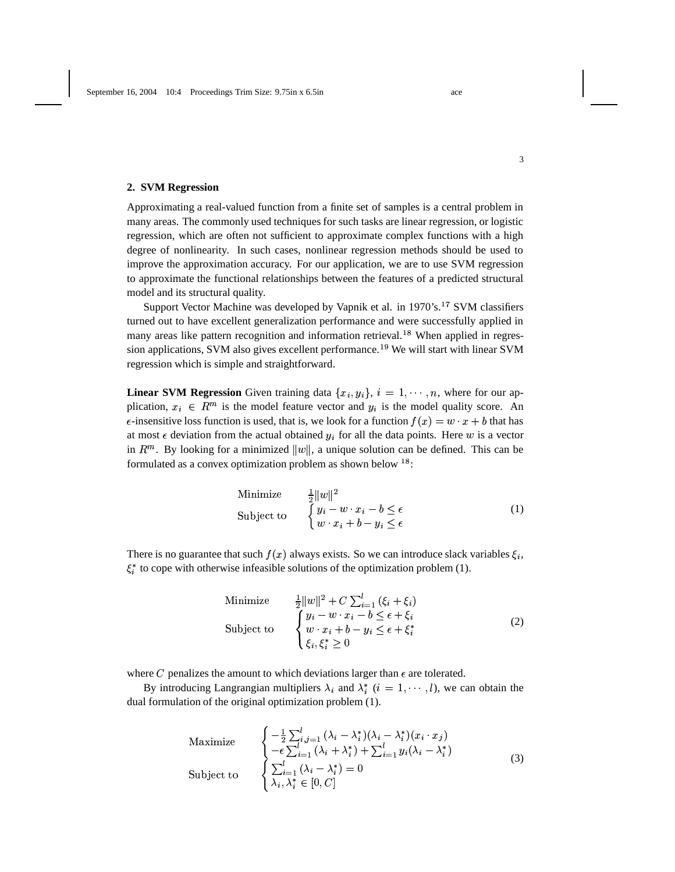# **2. SVM Regression**

Approximating a real-valued function from a finite set of samples is a central problem in many areas. The commonly used techniques for such tasks are linear regression, or logistic regression, which are often not sufficient to approximate complex functions with a high degree of nonlinearity. In such cases, nonlinear regression methods should be used to improve the approximation accuracy. For our application, we are to use SVM regression to approximate the functional relationships between the features of a predicted structural model and its structural quality.

Support Vector Machine was developed by Vapnik et al. in 1970's.<sup>17</sup> SVM classifiers turned out to have excellent generalization performance and were successfully applied in many areas like pattern recognition and information retrieval.<sup>18</sup> When applied in regression applications, SVM also gives excellent performance.<sup>19</sup> We will start with linear SVM regression which is simple and straightforward.

**Linear SVM Regression** Given training data  $\{x_i, y_i\}, i = 1, \dots, n$ , where for our application,  $x_i \in \mathbb{R}^m$  is the model feature vector and  $y_i$  is the model quality score. An  $\epsilon$ -insensitive loss function is used, that is, we look for a function  $f(x) = w \cdot x + b$  that has at most  $\epsilon$  deviation from the actual obtained  $y_i$  for all the data points. Here w is a vector in  $\mathbb{R}^m$ . By looking for a minimized  $||w||$ , a unique solution can be defined. This can be formulated as a convex optimization problem as shown below  $^{18}$ :

Minimize 
$$
\frac{1}{2} ||w||^2
$$
  
\nSubject to 
$$
\begin{cases} y_i - w \cdot x_i - b \le \epsilon \\ w \cdot x_i + b - y_i \le \epsilon \end{cases}
$$
 (1)

There is no guarantee that such  $f(x)$  always exists. So we can introduce slack variables  $\xi_i$ ,  $\xi_i^*$  to cope with otherwise infeasible solutions of the optimization problem (1).

Minimize 
$$
\frac{1}{2} ||w||^2 + C \sum_{i=1}^{l} (\xi_i + \xi_i)
$$
  
\nSubject to 
$$
\begin{cases} y_i - w \cdot x_i - b \le \epsilon + \xi_i \\ w \cdot x_i + b - y_i \le \epsilon + \xi_i^* \\ \xi_i, \xi_i^* \ge 0 \end{cases}
$$
 (2)

where C penalizes the amount to which deviations larger than  $\epsilon$  are tolerated.

By introducing Langrangian multipliers  $\lambda_i$  and  $\lambda_i^*$   $(i = 1, \dots, l)$ , we can obtain the dual formulation of the original optimization problem (1).

$$
\begin{array}{ll}\n\text{Maximize} & \begin{cases}\n-\frac{1}{2} \sum_{i,j=1}^{l} (\lambda_i - \lambda_i^*)(\lambda_i - \lambda_i^*)(x_i \cdot x_j) \\
-\epsilon \sum_{i=1}^{l} (\lambda_i + \lambda_i^*) + \sum_{i=1}^{l} y_i (\lambda_i - \lambda_i^*)\n\end{cases} \\
\text{Subject to} & \begin{cases}\n\sum_{i=1}^{l} (\lambda_i - \lambda_i^*) = 0 \\
\lambda_i, \lambda_i^* \in [0, C]\n\end{cases}\n\end{array} \tag{3}
$$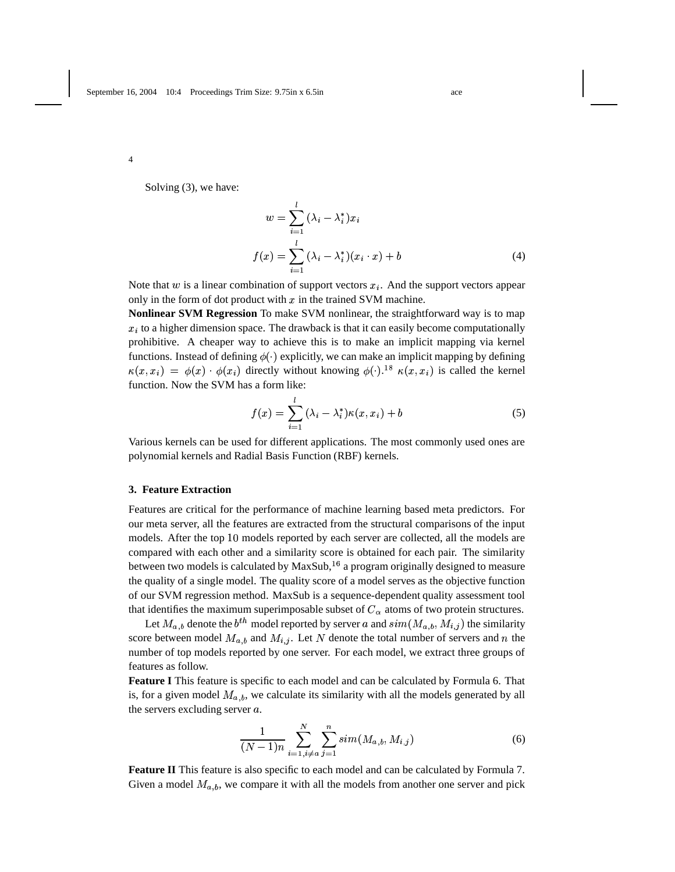Solving (3), we have:

$$
w = \sum_{i=1}^{l} (\lambda_i - \lambda_i^*) x_i
$$
  

$$
f(x) = \sum_{i=1}^{l} (\lambda_i - \lambda_i^*)(x_i \cdot x) + b
$$
 (4)

Note that  $w$  is a linear combination of support vectors  $x_i$ . And the support vectors appear only in the form of dot product with  $x$  in the trained SVM machine.

**Nonlinear SVM Regression** To make SVM nonlinear, the straightforward way is to map  $x_i$  to a higher dimension space. The drawback is that it can easily become computationally prohibitive. A cheaper way to achieve this is to make an implicit mapping via kernel functions. Instead of defining  $\phi(\cdot)$  explicitly, we can make an implicit mapping by defining  $\kappa(x, x_i) = \phi(x) \cdot \phi(x_i)$  directly without knowing  $\phi(\cdot)$ .<sup>18</sup>  $\kappa(x, x_i)$  is called the kernel function. Now the SVM has a form like:

$$
f(x) = \sum_{i=1}^{l} (\lambda_i - \lambda_i^*) \kappa(x, x_i) + b \tag{5}
$$

Various kernels can be used for different applications. The most commonly used ones are polynomial kernels and Radial Basis Function (RBF) kernels.

## **3. Feature Extraction**

Features are critical for the performance of machine learning based meta predictors. For our meta server, all the features are extracted from the structural comparisons of the input models. After the top 10 models reported by each server are collected, all the models are compared with each other and a similarity score is obtained for each pair. The similarity between two models is calculated by  $MaxSub, <sup>16</sup>$  a program originally designed to measure the quality of a single model. The quality score of a model serves as the objective function of our SVM regression method. MaxSub is a sequence-dependent quality assessment tool that identifies the maximum superimposable subset of  $C_{\alpha}$  atoms of two protein structures.

Let  $M_{a,b}$  denote the  $b^{th}$  model reported by server a and  $sim(M_{a,b}, M_{i,j})$  the similarity score between model  $M_{a,b}$  and  $M_{i,j}$ . Let N denote the total number of servers and n the number of top models reported by one server. For each model, we extract three groups of features as follow.

**Feature I** This feature is specific to each model and can be calculated by Formula 6. That is, for a given model  $M_{a,b}$ , we calculate its similarity with all the models generated by all the servers excluding server  $a$ .

$$
\frac{1}{(N-1)n} \sum_{i=1, i \neq a}^{N} \sum_{j=1}^{n} sim(M_{a,b}, M_{i,j})
$$
\n(6)

**Feature II** This feature is also specific to each model and can be calculated by Formula 7. Given a model  $M_{a,b}$ , we compare it with all the models from another one server and pick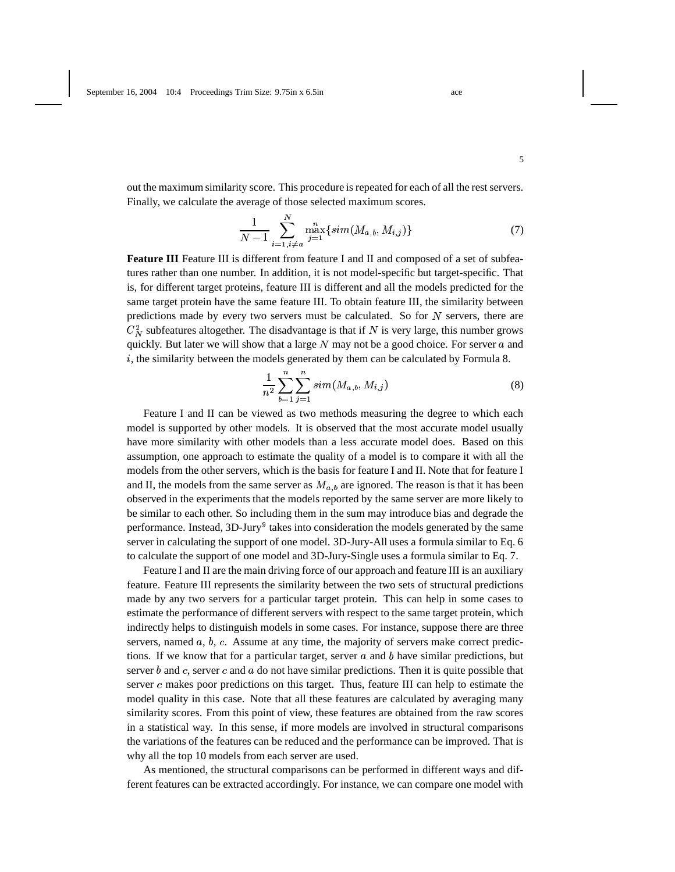out the maximum similarity score. This procedure is repeated for each of all the rest servers. Finally, we calculate the average of those selected maximum scores.

$$
\frac{1}{N-1} \sum_{i=1, i \neq a}^{N} \max_{j=1}^{n} \{ sim(M_{a,b}, M_{i,j}) \}
$$
(7)

**Feature III** Feature III is different from feature I and II and composed of a set of subfeatures rather than one number. In addition, it is not model-specific but target-specific. That is, for different target proteins, feature III is different and all the models predicted for the same target protein have the same feature III. To obtain feature III, the similarity between predictions made by every two servers must be calculated. So for  $N$  servers, there are  $C_N^2$  subfeatures altogether. The disadvantage is that if N is very large, this number grows quickly. But later we will show that a large  $N$  may not be a good choice. For server  $\alpha$  and  $i$ , the similarity between the models generated by them can be calculated by Formula 8.

$$
\frac{1}{n^2} \sum_{b=1}^{n} \sum_{j=1}^{n} sim(M_{a,b}, M_{i,j})
$$
\n(8)

Feature I and II can be viewed as two methods measuring the degree to which each model is supported by other models. It is observed that the most accurate model usually have more similarity with other models than a less accurate model does. Based on this assumption, one approach to estimate the quality of a model is to compare it with all the models from the other servers, which is the basis for feature I and II. Note that for feature I and II, the models from the same server as  $M_{a,b}$  are ignored. The reason is that it has been observed in the experiments that the models reported by the same server are more likely to be similar to each other. So including them in the sum may introduce bias and degrade the performance. Instead,  $3D$ -Jury<sup>9</sup> takes into consideration the models generated by the same server in calculating the support of one model. 3D-Jury-All uses a formula similar to Eq. 6 to calculate the support of one model and 3D-Jury-Single uses a formula similar to Eq. 7.

Feature I and II are the main driving force of our approach and feature III is an auxiliary feature. Feature III represents the similarity between the two sets of structural predictions made by any two servers for a particular target protein. This can help in some cases to estimate the performance of different servers with respect to the same target protein, which indirectly helps to distinguish models in some cases. For instance, suppose there are three servers, named  $a, b, c$ . Assume at any time, the majority of servers make correct predictions. If we know that for a particular target, server  $a$  and  $b$  have similar predictions, but server  $b$  and  $c$ , server  $c$  and  $a$  do not have similar predictions. Then it is quite possible that server  $c$  makes poor predictions on this target. Thus, feature III can help to estimate the model quality in this case. Note that all these features are calculated by averaging many similarity scores. From this point of view, these features are obtained from the raw scores in a statistical way. In this sense, if more models are involved in structural comparisons the variations of the features can be reduced and the performance can be improved. That is why all the top 10 models from each server are used.

As mentioned, the structural comparisons can be performed in different ways and different features can be extracted accordingly. For instance, we can compare one model with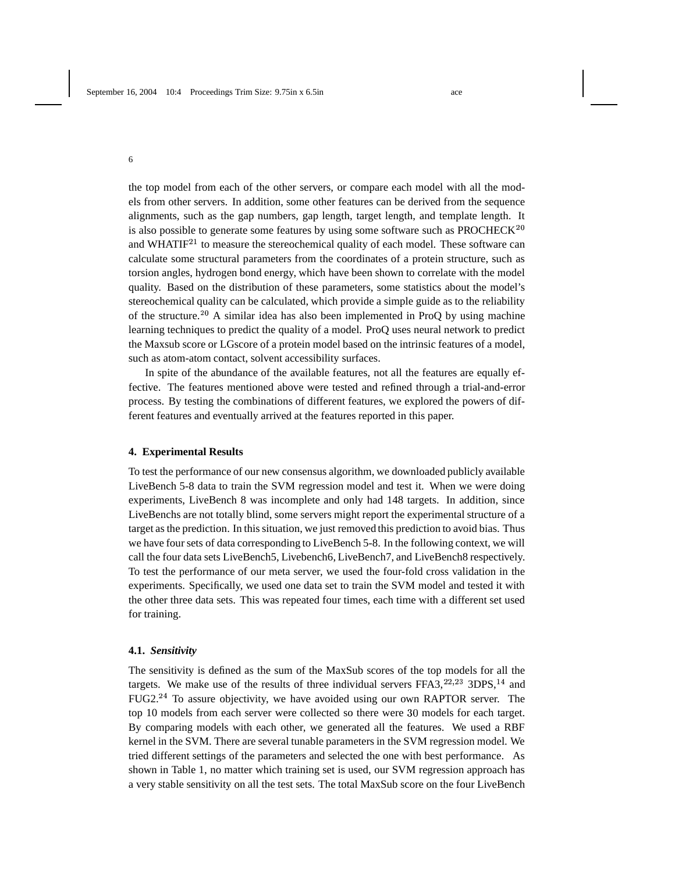the top model from each of the other servers, or compare each model with all the models from other servers. In addition, some other features can be derived from the sequence alignments, such as the gap numbers, gap length, target length, and template length. It is also possible to generate some features by using some software such as  $PROCHECK<sup>20</sup>$ and WHATI $F^{21}$  to measure the stereochemical quality of each model. These software can calculate some structural parameters from the coordinates of a protein structure, such as torsion angles, hydrogen bond energy, which have been shown to correlate with the model quality. Based on the distribution of these parameters, some statistics about the model's stereochemical quality can be calculated, which provide a simple guide as to the reliability of the structure.<sup>20</sup> A similar idea has also been implemented in ProQ by using machine learning techniques to predict the quality of a model. ProQ uses neural network to predict the Maxsub score or LGscore of a protein model based on the intrinsic features of a model, such as atom-atom contact, solvent accessibility surfaces.

In spite of the abundance of the available features, not all the features are equally effective. The features mentioned above were tested and refined through a trial-and-error process. By testing the combinations of different features, we explored the powers of different features and eventually arrived at the features reported in this paper.

### **4. Experimental Results**

To test the performance of our new consensus algorithm, we downloaded publicly available LiveBench 5-8 data to train the SVM regression model and test it. When we were doing experiments, LiveBench 8 was incomplete and only had 148 targets. In addition, since LiveBenchs are not totally blind, some servers might report the experimental structure of a target as the prediction. In this situation, we just removed this prediction to avoid bias. Thus we have four sets of data corresponding to LiveBench 5-8. In the following context, we will call the four data sets LiveBench5, Livebench6, LiveBench7, and LiveBench8 respectively. To test the performance of our meta server, we used the four-fold cross validation in the experiments. Specifically, we used one data set to train the SVM model and tested it with the other three data sets. This was repeated four times, each time with a different set used for training.

#### **4.1.** *Sensitivity*

The sensitivity is defined as the sum of the MaxSub scores of the top models for all the targets. We make use of the results of three individual servers  $FFA3, <sup>22,23</sup>$  3DPS,<sup>14</sup> and FUG2.<sup>24</sup> To assure objectivity, we have avoided using our own RAPTOR server. The top 10 models from each server were collected so there were 30 models for each target. By comparing models with each other, we generated all the features. We used a RBF kernel in the SVM. There are several tunable parameters in the SVM regression model. We tried different settings of the parameters and selected the one with best performance. As shown in Table 1, no matter which training set is used, our SVM regression approach has a very stable sensitivity on all the test sets. The total MaxSub score on the four LiveBench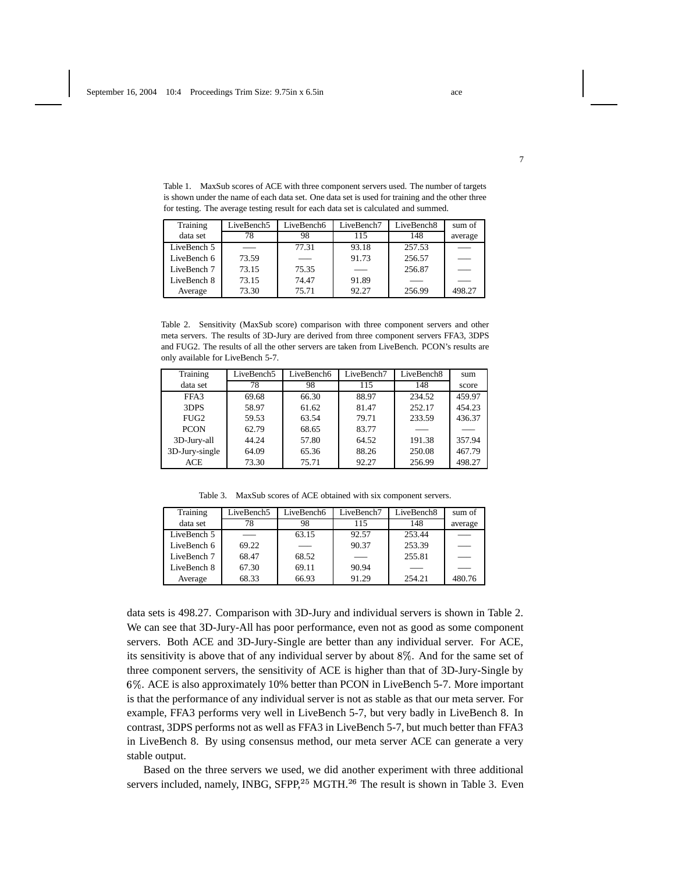| Training    | LiveBench5 | LiveBench6 | LiveBench7 | LiveBench <sub>8</sub> | sum of  |
|-------------|------------|------------|------------|------------------------|---------|
| data set    | 78         | 98         | 115        | 148                    | average |
| LiveBench 5 |            | 77.31      | 93.18      | 257.53                 |         |
| LiveBench 6 | 73.59      |            | 91.73      | 256.57                 |         |
| LiveBench 7 | 73.15      | 75.35      |            | 256.87                 | $\sim$  |
| LiveBench 8 | 73.15      | 74.47      | 91.89      |                        |         |
| Average     | 73.30      | 75.71      | 92.27      | 256.99                 | 498.27  |

Table 1. MaxSub scores of ACE with three component servers used. The number of targets is shown under the name of each data set. One data set is used for training and the other three for testing. The average testing result for each data set is calculated and summed.

Table 2. Sensitivity (MaxSub score) comparison with three component servers and other meta servers. The results of 3D-Jury are derived from three component servers FFA3, 3DPS and FUG2. The results of all the other servers are taken from LiveBench. PCON's results are only available for LiveBench 5-7.

| Training         | LiveBench5 | LiveBench6 | LiveBench7 | LiveBench8 | sum    |
|------------------|------------|------------|------------|------------|--------|
| data set         | 78         | 98         | 115        | 148        | score  |
| FFA3             | 69.68      | 66.30      | 88.97      | 234.52     | 459.97 |
| 3DPS             | 58.97      | 61.62      | 81.47      | 252.17     | 454.23 |
| FUG <sub>2</sub> | 59.53      | 63.54      | 79.71      | 233.59     | 436.37 |
| <b>PCON</b>      | 62.79      | 68.65      | 83.77      |            |        |
| 3D-Jury-all      | 44.24      | 57.80      | 64.52      | 191.38     | 357.94 |
| 3D-Jury-single   | 64.09      | 65.36      | 88.26      | 250.08     | 467.79 |
| <b>ACE</b>       | 73.30      | 75.71      | 92.27      | 256.99     | 498.27 |

Table 3. MaxSub scores of ACE obtained with six component servers.

| Training    | LiveBench5 | LiveBench6 | LiveBench7 | LiveBench8 | sum of                          |
|-------------|------------|------------|------------|------------|---------------------------------|
| data set    | 78         | 98         | 115        | 148        | average                         |
| LiveBench 5 |            | 63.15      | 92.57      | 253.44     |                                 |
| LiveBench 6 | 69.22      |            | 90.37      | 253.39     | $\hspace{0.1mm}-\hspace{0.1mm}$ |
| LiveBench 7 | 68.47      | 68.52      |            | 255.81     |                                 |
| LiveBench 8 | 67.30      | 69.11      | 90.94      |            |                                 |
| Average     | 68.33      | 66.93      | 91.29      | 254.21     | 480.76                          |

data sets is 498.27. Comparison with 3D-Jury and individual servers is shown in Table 2. We can see that 3D-Jury-All has poor performance, even not as good as some component servers. Both ACE and 3D-Jury-Single are better than any individual server. For ACE, its sensitivity is above that of any individual server by about 8%. And for the same set of three component servers, the sensitivity of ACE is higher than that of 3D-Jury-Single by . ACE is also approximately 10% better than PCON in LiveBench 5-7. More important is that the performance of any individual server is not as stable as that our meta server. For example, FFA3 performs very well in LiveBench 5-7, but very badly in LiveBench 8. In contrast, 3DPS performs not as well as FFA3 in LiveBench 5-7, but much better than FFA3 in LiveBench 8. By using consensus method, our meta server ACE can generate a very stable output.

Based on the three servers we used, we did another experiment with three additional servers included, namely, INBG, SFPP,  $25$  MGTH.  $26$  The result is shown in Table 3. Even

7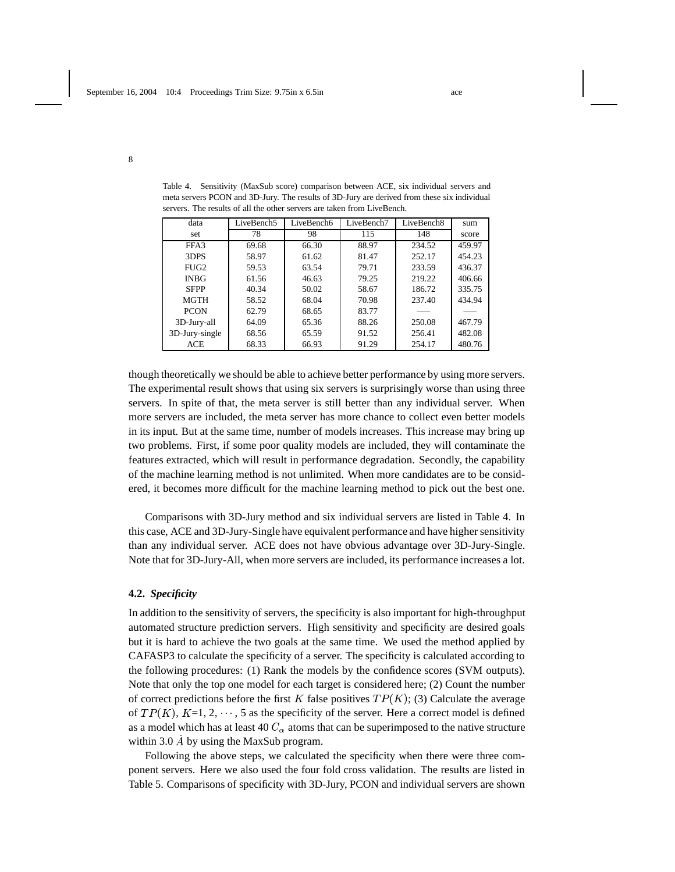| data           | LiveBench5 | LiveBench6 | LiveBench7 | LiveBench8 | sum    |
|----------------|------------|------------|------------|------------|--------|
| set            | 78         | 98         | 115        | 148        | score  |
| FFA3           | 69.68      | 66.30      | 88.97      | 234.52     | 459.97 |
| 3DPS           | 58.97      | 61.62      | 81.47      | 252.17     | 454.23 |
| $FI$ $G2$      | 59.53      | 63.54      | 79.71      | 233.59     | 436.37 |
| <b>INBG</b>    | 61.56      | 46.63      | 79.25      | 219.22     | 406.66 |
| <b>SFPP</b>    | 40.34      | 50.02      | 58.67      | 186.72     | 335.75 |
| <b>MGTH</b>    | 58.52      | 68.04      | 70.98      | 237.40     | 434.94 |
| <b>PCON</b>    | 62.79      | 68.65      | 83.77      |            |        |
| 3D-Jury-all    | 64.09      | 65.36      | 88.26      | 250.08     | 467.79 |
| 3D-Jury-single | 68.56      | 65.59      | 91.52      | 256.41     | 482.08 |
| <b>ACE</b>     | 68.33      | 66.93      | 91.29      | 254.17     | 480.76 |

Table 4. Sensitivity (MaxSub score) comparison between ACE, six individual servers and meta servers PCON and 3D-Jury. The results of 3D-Jury are derived from these six individual servers. The results of all the other servers are taken from LiveBench.

though theoretically we should be able to achieve better performance by using more servers. The experimental result shows that using six servers is surprisingly worse than using three servers. In spite of that, the meta server is still better than any individual server. When more servers are included, the meta server has more chance to collect even better models in its input. But at the same time, number of models increases. This increase may bring up two problems. First, if some poor quality models are included, they will contaminate the features extracted, which will result in performance degradation. Secondly, the capability of the machine learning method is not unlimited. When more candidates are to be considered, it becomes more difficult for the machine learning method to pick out the best one.

Comparisons with 3D-Jury method and six individual servers are listed in Table 4. In this case, ACE and 3D-Jury-Single have equivalent performance and have higher sensitivity than any individual server. ACE does not have obvious advantage over 3D-Jury-Single. Note that for 3D-Jury-All, when more servers are included, its performance increases a lot.

## **4.2.** *Specificity*

In addition to the sensitivity of servers, the specificity is also important for high-throughput automated structure prediction servers. High sensitivity and specificity are desired goals but it is hard to achieve the two goals at the same time. We used the method applied by CAFASP3 to calculate the specificity of a server. The specificity is calculated according to the following procedures: (1) Rank the models by the confidence scores (SVM outputs). Note that only the top one model for each target is considered here; (2) Count the number of correct predictions before the first K false positives  $TP(K)$ ; (3) Calculate the average of  $TP(K)$ ,  $K=1, 2, \dots, 5$  as the specificity of the server. Here a correct model is defined as a model which has at least 40  $C_{\alpha}$  atoms that can be superimposed to the native structure within 3.0  $\dot{A}$  by using the MaxSub program.

Following the above steps, we calculated the specificity when there were three component servers. Here we also used the four fold cross validation. The results are listed in Table 5. Comparisons of specificity with 3D-Jury, PCON and individual servers are shown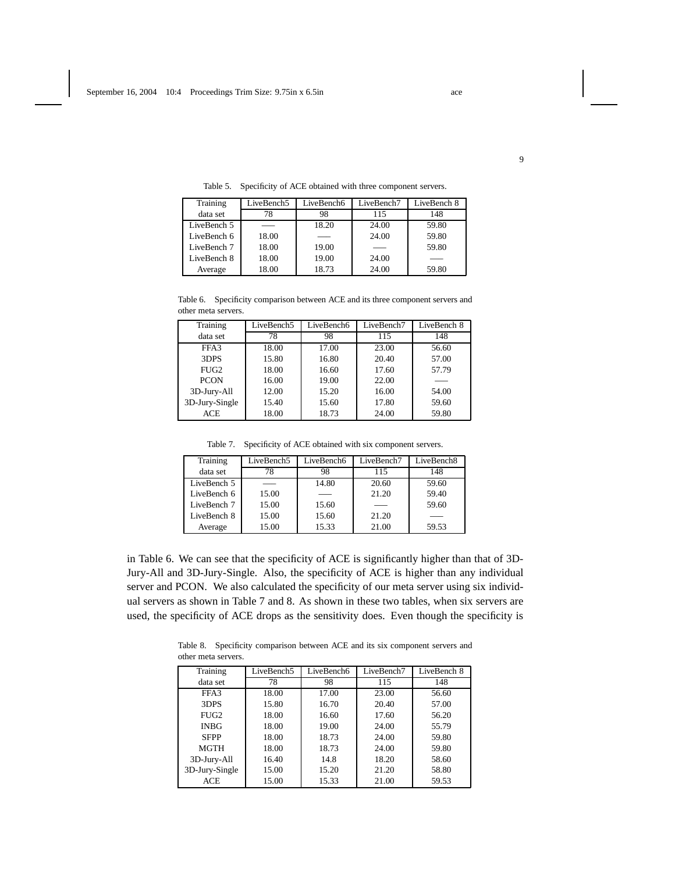| Training    | LiveBench5 | LiveBench6 | LiveBench7 | LiveBench 8 |
|-------------|------------|------------|------------|-------------|
| data set    | 78         | 98         | 115        | 148         |
| LiveBench 5 |            | 18.20      | 24.00      | 59.80       |
| LiveBench 6 | 18.00      |            | 24.00      | 59.80       |
| LiveBench 7 | 18.00      | 19.00      |            | 59.80       |
| LiveBench 8 | 18.00      | 19.00      | 24.00      |             |
| Average     | 18.00      | 18.73      | 24.00      | 59.80       |

Table 5. Specificity of ACE obtained with three component servers.

Table 6. Specificity comparison between ACE and its three component servers and other meta servers.

| Training         | LiveBench5 | LiveBench6 | LiveBench7 | LiveBench 8 |
|------------------|------------|------------|------------|-------------|
| data set         | 78         | 98         | 115        | 148         |
| FFA3             | 18.00      | 17.00      | 23.00      | 56.60       |
| 3DPS             | 15.80      | 16.80      | 20.40      | 57.00       |
| FUG <sub>2</sub> | 18.00      | 16.60      | 17.60      | 57.79       |
| <b>PCON</b>      | 16.00      | 19.00      | 22.00      |             |
| 3D-Jury-All      | 12.00      | 15.20      | 16.00      | 54.00       |
| 3D-Jury-Single   | 15.40      | 15.60      | 17.80      | 59.60       |
| <b>ACE</b>       | 18.00      | 18.73      | 24.00      | 59.80       |

Table 7. Specificity of ACE obtained with six component servers.

| Training    | LiveBench5 | LiveBench6 | LiveBench7 | LiveBench <sub>8</sub> |
|-------------|------------|------------|------------|------------------------|
| data set    | 78         | 98         | 115        | 148                    |
| LiveBench 5 |            | 14.80      | 20.60      | 59.60                  |
| LiveBench 6 | 15.00      |            | 21.20      | 59.40                  |
| LiveBench 7 | 15.00      | 15.60      |            | 59.60                  |
| LiveBench 8 | 15.00      | 15.60      | 21.20      |                        |
| Average     | 15.00      | 15.33      | 21.00      | 59.53                  |

in Table 6. We can see that the specificity of ACE is significantly higher than that of 3D-Jury-All and 3D-Jury-Single. Also, the specificity of ACE is higher than any individual server and PCON. We also calculated the specificity of our meta server using six individual servers as shown in Table 7 and 8. As shown in these two tables, when six servers are used, the specificity of ACE drops as the sensitivity does. Even though the specificity is

Table 8. Specificity comparison between ACE and its six component servers and other meta servers.

| Training       | LiveBench5 | LiveBench6 | LiveBench7 | LiveBench 8 |
|----------------|------------|------------|------------|-------------|
| data set       | 78         | 98         | 115        | 148         |
| FFA3           | 18.00      | 17.00      | 23.00      | 56.60       |
| 3DPS           | 15.80      | 16.70      | 20.40      | 57.00       |
| $FI$ G2        | 18.00      | 16.60      | 17.60      | 56.20       |
| <b>INBG</b>    | 18.00      | 19.00      | 24.00      | 55.79       |
| <b>SFPP</b>    | 18.00      | 18.73      | 24.00      | 59.80       |
| MGTH           | 18.00      | 18.73      | 24.00      | 59.80       |
| 3D-Jury-All    | 16.40      | 14.8       | 18.20      | 58.60       |
| 3D-Jury-Single | 15.00      | 15.20      | 21.20      | 58.80       |
| <b>ACE</b>     | 15.00      | 15.33      | 21.00      | 59.53       |

9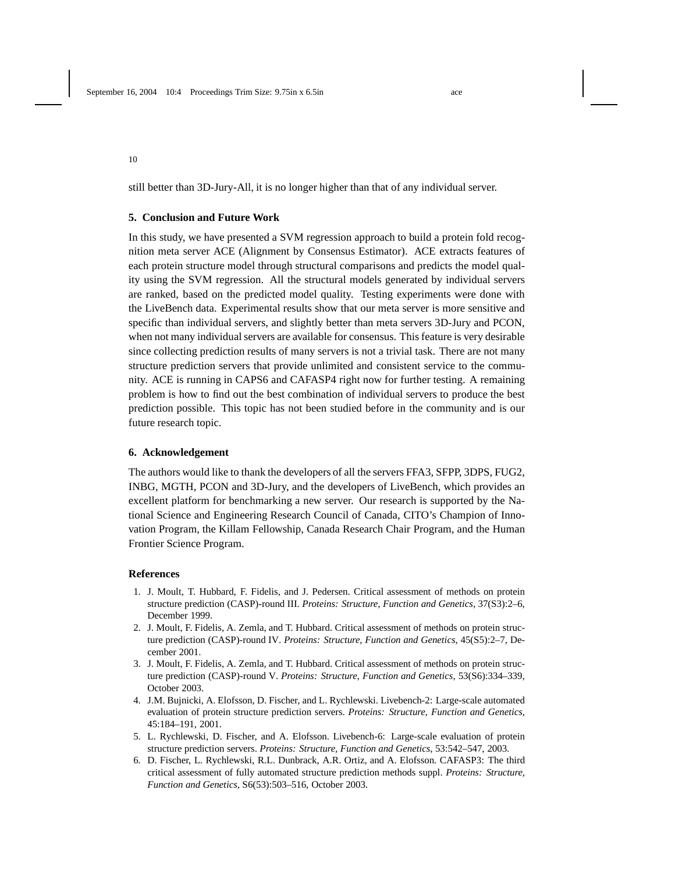still better than 3D-Jury-All, it is no longer higher than that of any individual server.

### **5. Conclusion and Future Work**

In this study, we have presented a SVM regression approach to build a protein fold recognition meta server ACE (Alignment by Consensus Estimator). ACE extracts features of each protein structure model through structural comparisons and predicts the model quality using the SVM regression. All the structural models generated by individual servers are ranked, based on the predicted model quality. Testing experiments were done with the LiveBench data. Experimental results show that our meta server is more sensitive and specific than individual servers, and slightly better than meta servers 3D-Jury and PCON, when not many individual servers are available for consensus. This feature is very desirable since collecting prediction results of many servers is not a trivial task. There are not many structure prediction servers that provide unlimited and consistent service to the community. ACE is running in CAPS6 and CAFASP4 right now for further testing. A remaining problem is how to find out the best combination of individual servers to produce the best prediction possible. This topic has not been studied before in the community and is our future research topic.

## **6. Acknowledgement**

The authors would like to thank the developers of all the servers FFA3, SFPP, 3DPS, FUG2, INBG, MGTH, PCON and 3D-Jury, and the developers of LiveBench, which provides an excellent platform for benchmarking a new server. Our research is supported by the National Science and Engineering Research Council of Canada, CITO's Champion of Innovation Program, the Killam Fellowship, Canada Research Chair Program, and the Human Frontier Science Program.

### **References**

- 1. J. Moult, T. Hubbard, F. Fidelis, and J. Pedersen. Critical assessment of methods on protein structure prediction (CASP)-round III. *Proteins: Structure, Function and Genetics*, 37(S3):2–6, December 1999.
- 2. J. Moult, F. Fidelis, A. Zemla, and T. Hubbard. Critical assessment of methods on protein structure prediction (CASP)-round IV. *Proteins: Structure, Function and Genetics*, 45(S5):2–7, December 2001.
- 3. J. Moult, F. Fidelis, A. Zemla, and T. Hubbard. Critical assessment of methods on protein structure prediction (CASP)-round V. *Proteins: Structure, Function and Genetics*, 53(S6):334–339, October 2003.
- 4. J.M. Bujnicki, A. Elofsson, D. Fischer, and L. Rychlewski. Livebench-2: Large-scale automated evaluation of protein structure prediction servers. *Proteins: Structure, Function and Genetics*, 45:184–191, 2001.
- 5. L. Rychlewski, D. Fischer, and A. Elofsson. Livebench-6: Large-scale evaluation of protein structure prediction servers. *Proteins: Structure, Function and Genetics*, 53:542–547, 2003.
- 6. D. Fischer, L. Rychlewski, R.L. Dunbrack, A.R. Ortiz, and A. Elofsson. CAFASP3: The third critical assessment of fully automated structure prediction methods suppl. *Proteins: Structure, Function and Genetics*, S6(53):503–516, October 2003.